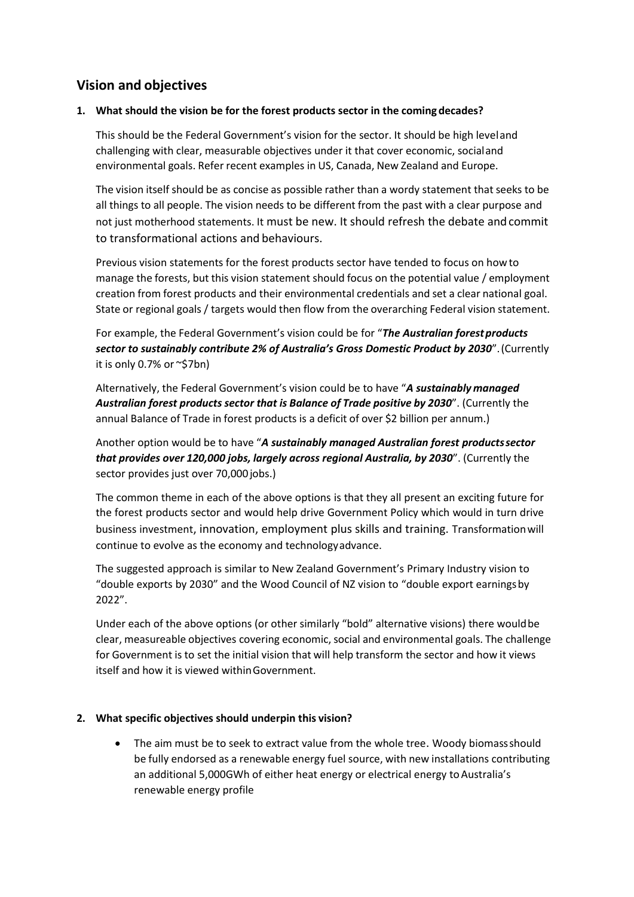# **Vision and objectives**

### **1. What should the vision be for the forest products sector in the coming decades?**

This should be the Federal Government's vision for the sector. It should be high leveland challenging with clear, measurable objectives under it that cover economic, socialand environmental goals. Refer recent examples in US, Canada, New Zealand and Europe.

The vision itself should be as concise as possible rather than a wordy statement that seeks to be all things to all people. The vision needs to be different from the past with a clear purpose and not just motherhood statements. It must be new. It should refresh the debate andcommit to transformational actions and behaviours.

Previous vision statements for the forest products sector have tended to focus on howto manage the forests, but this vision statement should focus on the potential value / employment creation from forest products and their environmental credentials and set a clear national goal. State or regional goals / targets would then flow from the overarching Federal vision statement.

For example, the Federal Government's vision could be for "The Australian forest products *sector to sustainably contribute 2% of Australia's Gross Domestic Product by 2030*".(Currently it is only 0.7% or  $\sim$ \$7bn)

Alternatively, the Federal Government's vision could be to have "*A sustainably managed Australian forest products sector that is Balance of Trade positive by 2030*". (Currently the annual Balance of Trade in forest products is a deficit of over \$2 billion per annum.)

Another option would be to have "*A sustainably managed Australian forest productssector that provides over 120,000 jobs, largely across regional Australia, by 2030*". (Currently the sector provides just over 70,000 jobs.)

The common theme in each of the above options is that they all present an exciting future for the forest products sector and would help drive Government Policy which would in turn drive business investment, innovation, employment plus skills and training. Transformationwill continue to evolve as the economy and technologyadvance.

The suggested approach is similar to New Zealand Government's Primary Industry vision to "double exports by 2030" and the Wood Council of NZ vision to "double export earningsby 2022".

Under each of the above options (or other similarly "bold" alternative visions) there wouldbe clear, measureable objectives covering economic, social and environmental goals. The challenge for Government is to set the initial vision that will help transform the sector and how it views itself and how it is viewed withinGovernment.

#### **2. What specific objectives should underpin this vision?**

• The aim must be to seek to extract value from the whole tree. Woody biomass should be fully endorsed as a renewable energy fuel source, with new installations contributing an additional 5,000GWh of either heat energy or electrical energy to Australia's renewable energy profile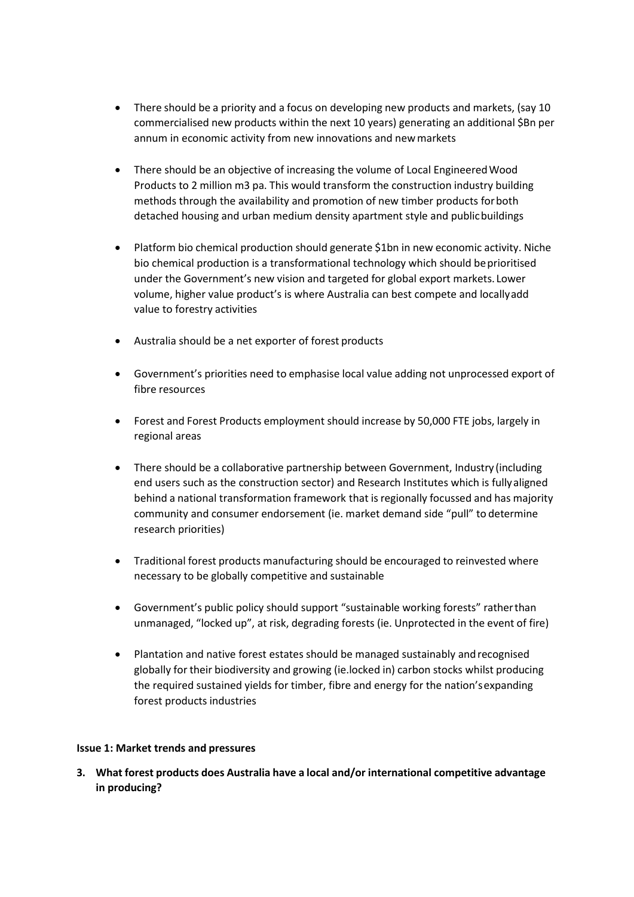- There should be a priority and a focus on developing new products and markets, (say 10 commercialised new products within the next 10 years) generating an additional \$Bn per annum in economic activity from new innovations and newmarkets
- There should be an objective of increasing the volume of Local EngineeredWood Products to 2 million m3 pa. This would transform the construction industry building methods through the availability and promotion of new timber products forboth detached housing and urban medium density apartment style and publicbuildings
- Platform bio chemical production should generate \$1bn in new economic activity. Niche bio chemical production is a transformational technology which should be prioritised under the Government's new vision and targeted for global export markets. Lower volume, higher value product's is where Australia can best compete and locallyadd value to forestry activities
- Australia should be a net exporter of forest products
- Government's priorities need to emphasise local value adding not unprocessed export of fibre resources
- Forest and Forest Products employment should increase by 50,000 FTE jobs, largely in regional areas
- There should be a collaborative partnership between Government, Industry (including end users such as the construction sector) and Research Institutes which is fullyaligned behind a national transformation framework that is regionally focussed and has majority community and consumer endorsement (ie. market demand side "pull" to determine research priorities)
- Traditional forest products manufacturing should be encouraged to reinvested where necessary to be globally competitive and sustainable
- Government's public policy should support "sustainable working forests" ratherthan unmanaged, "locked up", at risk, degrading forests (ie. Unprotected in the event of fire)
- Plantation and native forest estates should be managed sustainably andrecognised globally for their biodiversity and growing (ie.locked in) carbon stocks whilst producing the required sustained yields for timber, fibre and energy for the nation'sexpanding forest products industries

#### **Issue 1: Market trends and pressures**

**3. What forest products does Australia have a local and/or international competitive advantage in producing?**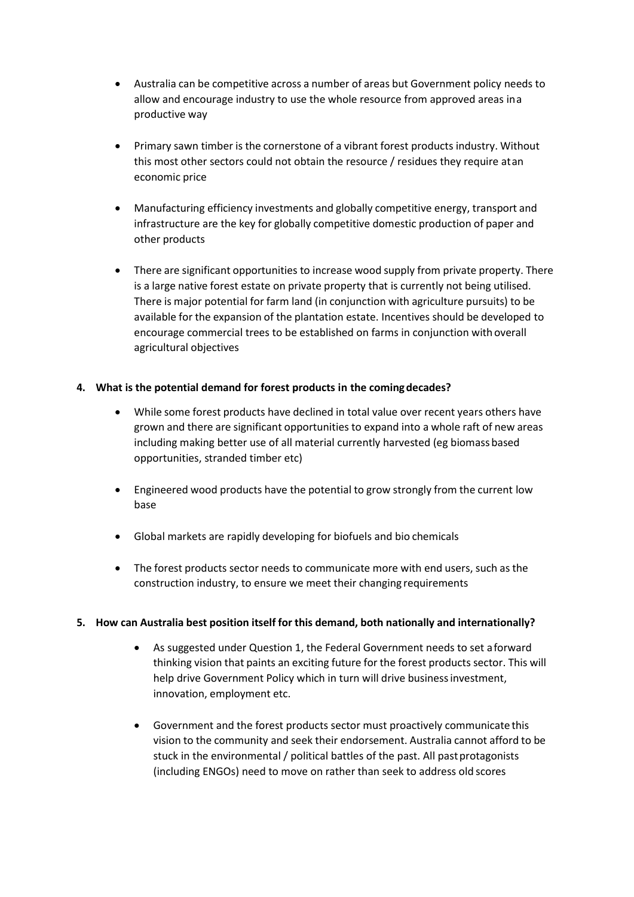- Australia can be competitive across a number of areas but Government policy needs to allow and encourage industry to use the whole resource from approved areas ina productive way
- Primary sawn timber is the cornerstone of a vibrant forest products industry. Without this most other sectors could not obtain the resource / residues they require atan economic price
- Manufacturing efficiency investments and globally competitive energy, transport and infrastructure are the key for globally competitive domestic production of paper and other products
- There are significant opportunities to increase wood supply from private property. There is a large native forest estate on private property that is currently not being utilised. There is major potential for farm land (in conjunction with agriculture pursuits) to be available for the expansion of the plantation estate. Incentives should be developed to encourage commercial trees to be established on farms in conjunction withoverall agricultural objectives

### **4. What is the potential demand for forest products in the comingdecades?**

- While some forest products have declined in total value over recent years others have grown and there are significant opportunities to expand into a whole raft of new areas including making better use of all material currently harvested (eg biomassbased opportunities, stranded timber etc)
- Engineered wood products have the potential to grow strongly from the current low base
- Global markets are rapidly developing for biofuels and bio chemicals
- The forest products sector needs to communicate more with end users, such as the construction industry, to ensure we meet their changing requirements

### **5. How can Australia best position itself for this demand, both nationally and internationally?**

- As suggested under Question 1, the Federal Government needs to set aforward thinking vision that paints an exciting future for the forest products sector. This will help drive Government Policy which in turn will drive businessinvestment, innovation, employment etc.
- Government and the forest products sector must proactively communicate this vision to the community and seek their endorsement. Australia cannot afford to be stuck in the environmental / political battles of the past. All past protagonists (including ENGOs) need to move on rather than seek to address old scores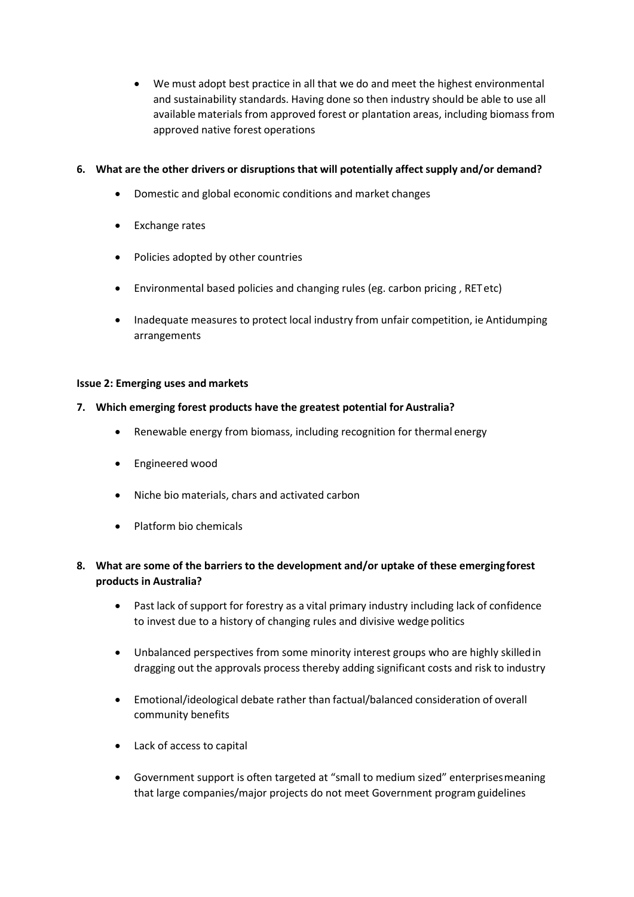We must adopt best practice in all that we do and meet the highest environmental and sustainability standards. Having done so then industry should be able to use all available materials from approved forest or plantation areas, including biomass from approved native forest operations

### **6. What are the other drivers or disruptions that will potentially affectsupply and/or demand?**

- Domestic and global economic conditions and market changes
- Exchange rates
- Policies adopted by other countries
- Environmental based policies and changing rules (eg. carbon pricing , RETetc)
- Inadequate measures to protect local industry from unfair competition, ie Antidumping arrangements

#### **Issue 2: Emerging uses and markets**

#### **7. Which emerging forest products have the greatest potential for Australia?**

- Renewable energy from biomass, including recognition for thermal energy
- Engineered wood
- Niche bio materials, chars and activated carbon
- Platform bio chemicals
- **8. What are some of the barriers to the development and/or uptake of these emergingforest products in Australia?**
	- Past lack of support for forestry as a vital primary industry including lack of confidence to invest due to a history of changing rules and divisive wedge politics
	- Unbalanced perspectives from some minority interest groups who are highly skilledin dragging out the approvals process thereby adding significant costs and risk to industry
	- Emotional/ideological debate rather than factual/balanced consideration of overall community benefits
	- Lack of access to capital
	- Government support is often targeted at "small to medium sized" enterprisesmeaning that large companies/major projects do not meet Government programguidelines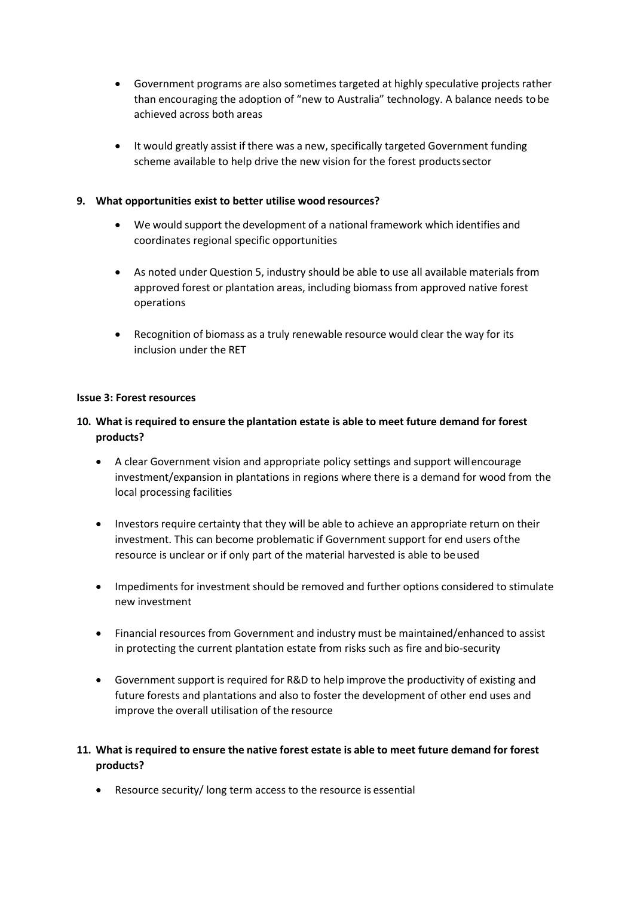- Government programs are also sometimes targeted at highly speculative projects rather than encouraging the adoption of "new to Australia" technology. A balance needs tobe achieved across both areas
- It would greatly assist if there was a new, specifically targeted Government funding scheme available to help drive the new vision for the forest productssector

### **9. What opportunities exist to better utilise wood resources?**

- We would support the development of a national framework which identifies and coordinates regional specific opportunities
- As noted under Question 5, industry should be able to use all available materials from approved forest or plantation areas, including biomass from approved native forest operations
- Recognition of biomass as a truly renewable resource would clear the way for its inclusion under the RET

#### **Issue 3: Forest resources**

# **10. What is required to ensure the plantation estate is able to meet future demand for forest products?**

- A clear Government vision and appropriate policy settings and support willencourage investment/expansion in plantations in regions where there is a demand for wood from the local processing facilities
- Investors require certainty that they will be able to achieve an appropriate return on their investment. This can become problematic if Government support for end users ofthe resource is unclear or if only part of the material harvested is able to beused
- Impediments for investment should be removed and further options considered to stimulate new investment
- Financial resources from Government and industry must be maintained/enhanced to assist in protecting the current plantation estate from risks such as fire and bio-security
- Government support is required for R&D to help improve the productivity of existing and future forests and plantations and also to foster the development of other end uses and improve the overall utilisation of the resource

# **11. What is required to ensure the native forest estate is able to meet future demand for forest products?**

Resource security/ long term access to the resource is essential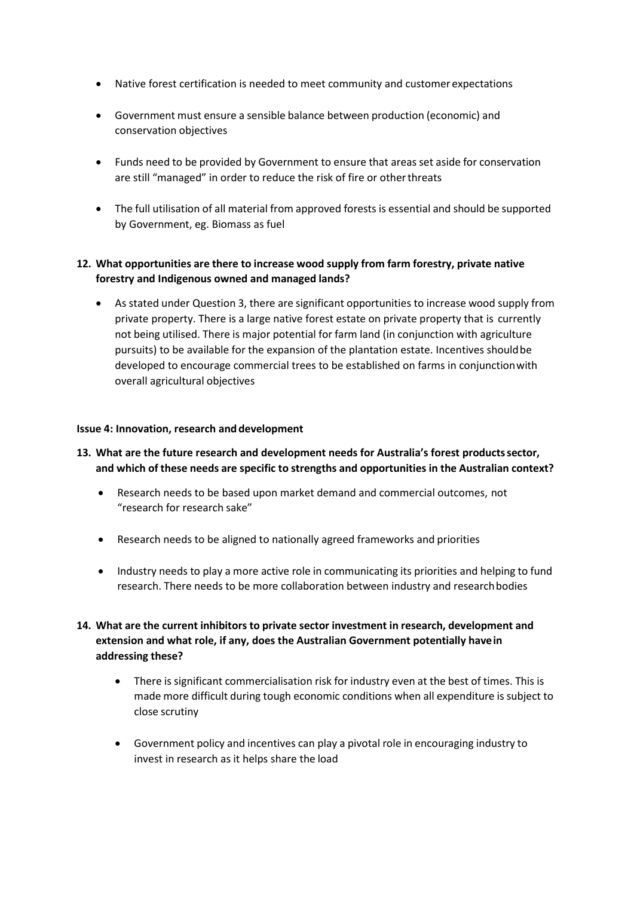- Native forest certification is needed to meet community and customer expectations
- Government must ensure a sensible balance between production (economic) and conservation objectives
- Funds need to be provided by Government to ensure that areasset aside for conservation are still "managed" in order to reduce the risk of fire or otherthreats
- The full utilisation of all material from approved forests is essential and should be supported by Government, eg. Biomass as fuel

# **12. What opportunities are there to increase wood supply from farm forestry, private native forestry and Indigenous owned and managed lands?**

 As stated under Question 3, there are significant opportunities to increase wood supply from private property. There is a large native forest estate on private property that is currently not being utilised. There is major potential for farm land (in conjunction with agriculture pursuits) to be available for the expansion of the plantation estate. Incentives shouldbe developed to encourage commercial trees to be established on farms in conjunctionwith overall agricultural objectives

#### **Issue 4: Innovation, research and development**

- **13. What are the future research and development needs for Australia's forest productssector, and which of these needs are specific to strengths and opportunities in the Australian context?**
	- Research needs to be based upon market demand and commercial outcomes, not "research for research sake"
	- Research needs to be aligned to nationally agreed frameworks and priorities
	- Industry needs to play a more active role in communicating its priorities and helping to fund research. There needs to be more collaboration between industry and researchbodies
- **14. What are the current inhibitors to private sector investment in research, development and extension and what role, if any, does the Australian Government potentially havein addressing these?**
	- There is significant commercialisation risk for industry even at the best of times. This is made more difficult during tough economic conditions when all expenditure is subject to close scrutiny
	- Government policy and incentives can play a pivotal role in encouraging industry to invest in research as it helps share the load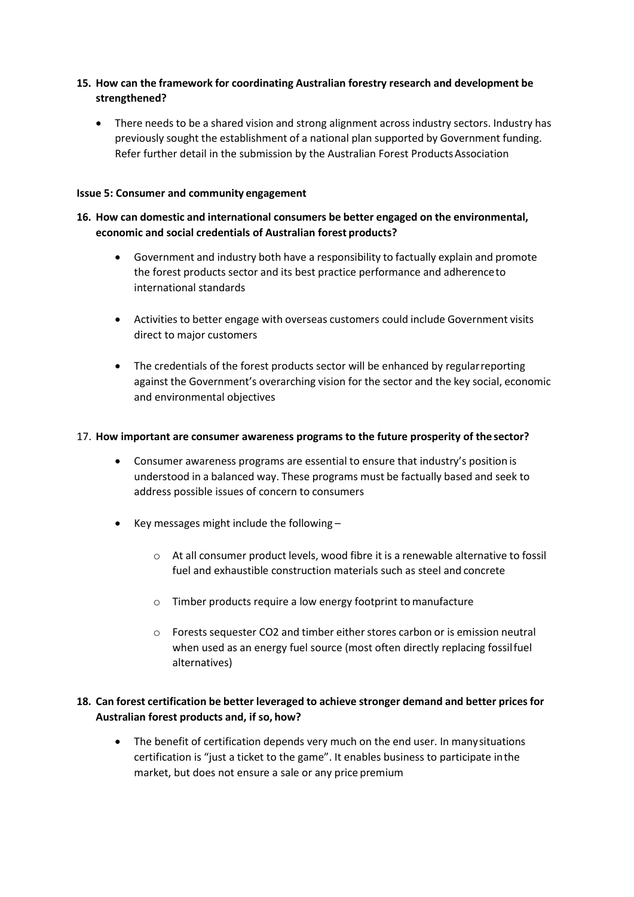## **15. How can the framework for coordinating Australian forestry research and development be strengthened?**

 There needs to be a shared vision and strong alignment across industry sectors. Industry has previously sought the establishment of a national plan supported by Government funding. Refer further detail in the submission by the Australian Forest Products Association

#### **Issue 5: Consumer and community engagement**

### **16. How can domestic and international consumers be better engaged on the environmental, economic and social credentials of Australian forest products?**

- Government and industry both have a responsibility to factually explain and promote the forest products sector and its best practice performance and adherenceto international standards
- Activities to better engage with overseas customers could include Government visits direct to major customers
- The credentials of the forest products sector will be enhanced by regularreporting against the Government's overarching vision for the sector and the key social, economic and environmental objectives

#### 17. **How important are consumer awareness programs to the future prosperity of the sector?**

- Consumer awareness programs are essential to ensure that industry's position is understood in a balanced way. These programs must be factually based and seek to address possible issues of concern to consumers
- $\bullet$  Key messages might include the following
	- o At all consumer product levels, wood fibre it is a renewable alternative to fossil fuel and exhaustible construction materials such as steel and concrete
	- o Timber products require a low energy footprint to manufacture
	- o Forests sequester CO2 and timber either stores carbon or is emission neutral when used as an energy fuel source (most often directly replacing fossilfuel alternatives)

# **18. Can forest certification be better leveraged to achieve stronger demand and better prices for Australian forest products and, if so, how?**

 The benefit of certification depends very much on the end user. In manysituations certification is "just a ticket to the game". It enables business to participate inthe market, but does not ensure a sale or any price premium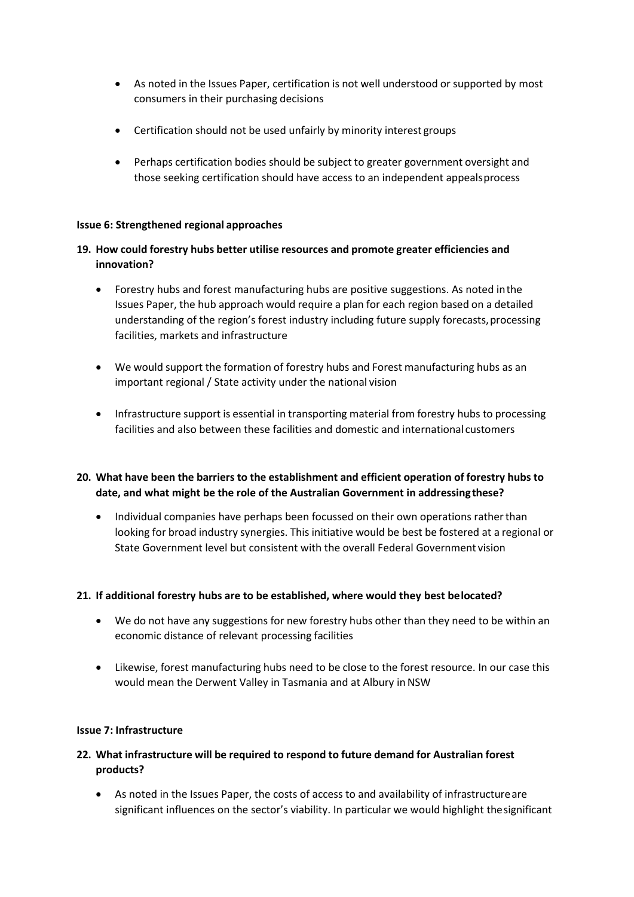- As noted in the Issues Paper, certification is not well understood or supported by most consumers in their purchasing decisions
- Certification should not be used unfairly by minority interest groups
- Perhaps certification bodies should be subject to greater government oversight and those seeking certification should have access to an independent appealsprocess

#### **Issue 6: Strengthened regional approaches**

# **19. How could forestry hubs better utilise resources and promote greater efficiencies and innovation?**

- Forestry hubs and forest manufacturing hubs are positive suggestions. As noted inthe Issues Paper, the hub approach would require a plan for each region based on a detailed understanding of the region's forest industry including future supply forecasts, processing facilities, markets and infrastructure
- We would support the formation of forestry hubs and Forest manufacturing hubs as an important regional / State activity under the national vision
- Infrastructure support is essential in transporting material from forestry hubs to processing facilities and also between these facilities and domestic and international customers

# **20. What have been the barriers to the establishment and efficient operation of forestry hubs to date, and what might be the role of the Australian Government in addressingthese?**

 Individual companies have perhaps been focussed on their own operations ratherthan looking for broad industry synergies. This initiative would be best be fostered at a regional or State Government level but consistent with the overall Federal Government vision

### **21. If additional forestry hubs are to be established, where would they best belocated?**

- We do not have any suggestions for new forestry hubs other than they need to be within an economic distance of relevant processing facilities
- Likewise, forest manufacturing hubs need to be close to the forest resource. In our case this would mean the Derwent Valley in Tasmania and at Albury in NSW

#### **Issue 7: Infrastructure**

# **22. What infrastructure will be required to respond to future demand for Australian forest products?**

 As noted in the Issues Paper, the costs of access to and availability of infrastructureare significant influences on the sector's viability. In particular we would highlight thesignificant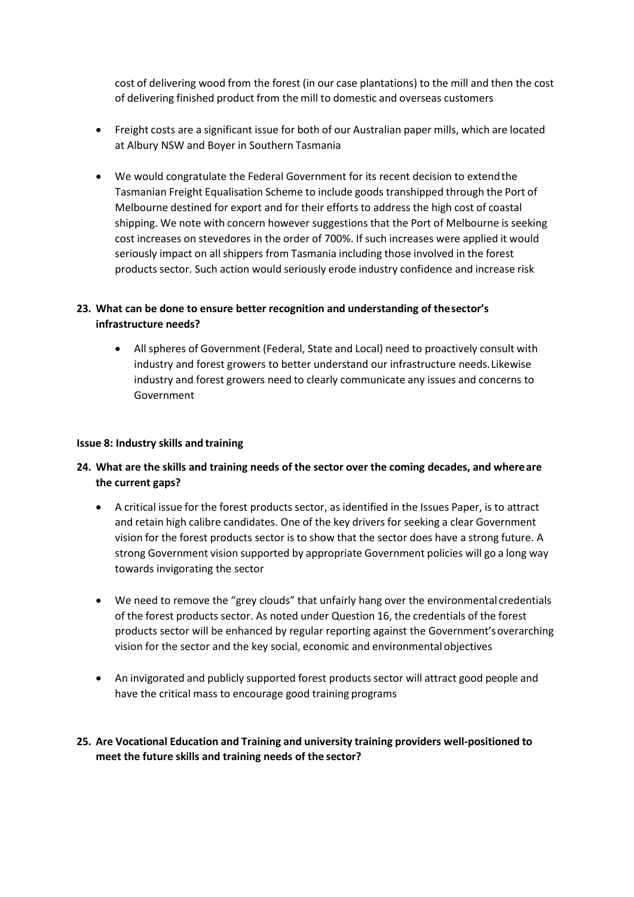cost of delivering wood from the forest (in our case plantations) to the mill and then the cost of delivering finished product from the mill to domestic and overseas customers

- Freight costs are a significant issue for both of our Australian paper mills, which are located at Albury NSW and Boyer in Southern Tasmania
- We would congratulate the Federal Government for its recent decision to extendthe Tasmanian Freight Equalisation Scheme to include goods transhipped through the Port of Melbourne destined for export and for their efforts to address the high cost of coastal shipping. We note with concern however suggestions that the Port of Melbourne is seeking cost increases on stevedores in the order of 700%. If such increases were applied it would seriously impact on all shippers from Tasmania including those involved in the forest products sector. Such action would seriously erode industry confidence and increase risk

# **23. What can be done to ensure better recognition and understanding of thesector's infrastructure needs?**

 All spheres of Government (Federal, State and Local) need to proactively consult with industry and forest growers to better understand our infrastructure needs.Likewise industry and forest growers need to clearly communicate any issues and concerns to Government

#### **Issue 8: Industry skills and training**

- **24. What are the skills and training needs of the sector over the coming decades, and whereare the current gaps?**
	- A critical issue for the forest products sector, as identified in the Issues Paper, is to attract and retain high calibre candidates. One of the key drivers for seeking a clear Government vision for the forest products sector is to show that the sector does have a strong future. A strong Government vision supported by appropriate Government policies will go a long way towards invigorating the sector
	- We need to remove the "grey clouds" that unfairly hang over the environmental credentials of the forest products sector. As noted under Question 16, the credentials of the forest products sector will be enhanced by regular reporting against the Government'soverarching vision for the sector and the key social, economic and environmental objectives
	- An invigorated and publicly supported forest products sector will attract good people and have the critical mass to encourage good training programs
- **25. Are Vocational Education and Training and university training providers well-positioned to meet the future skills and training needs of the sector?**